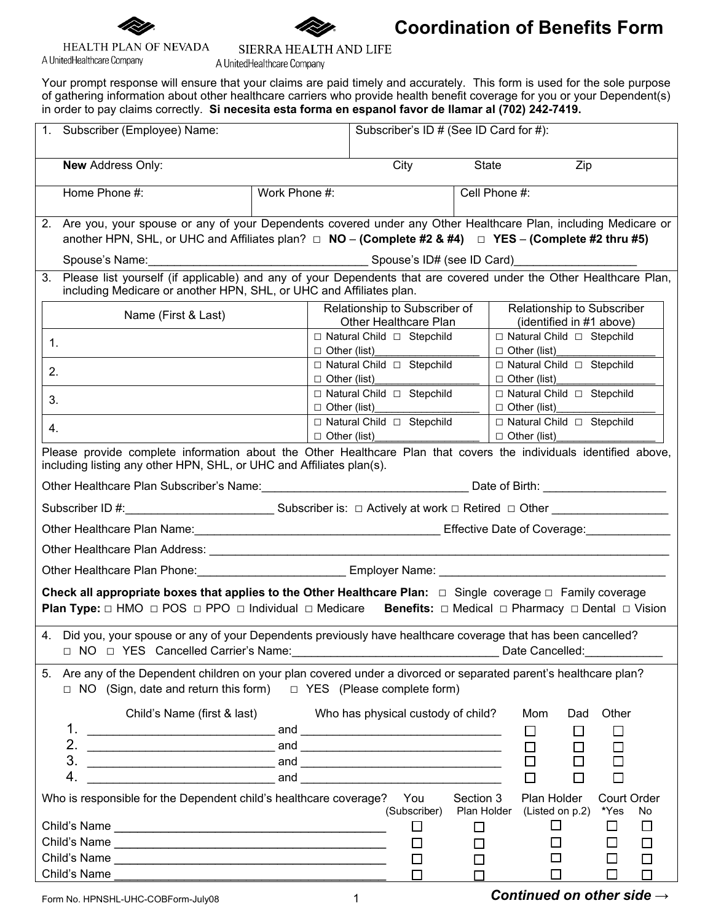



SIERRA HEALTH AND LIFE

## **Coordination of Benefits Form**

## HEALTH PLAN OF NEVADA A UnitedHealthcare Company

A UnitedHealthcare Company

Your prompt response will ensure that your claims are paid timely and accurately. This form is used for the sole purpose of gathering information about other healthcare carriers who provide health benefit coverage for you or your Dependent(s) in order to pay claims correctly. **Si necesita esta forma en espanol favor de llamar al (702) 242-7419.**

|                                                                                                                                                                                                                                                                                          | 1. Subscriber (Employee) Name:                                                                                                                                                                                                      |               |                     | Subscriber's ID # (See ID Card for #):                    |           |                                                        |                  |                    |        |
|------------------------------------------------------------------------------------------------------------------------------------------------------------------------------------------------------------------------------------------------------------------------------------------|-------------------------------------------------------------------------------------------------------------------------------------------------------------------------------------------------------------------------------------|---------------|---------------------|-----------------------------------------------------------|-----------|--------------------------------------------------------|------------------|--------------------|--------|
|                                                                                                                                                                                                                                                                                          | <b>New Address Only:</b>                                                                                                                                                                                                            |               |                     | City                                                      | State     |                                                        | Zip              |                    |        |
|                                                                                                                                                                                                                                                                                          | Home Phone #:                                                                                                                                                                                                                       | Work Phone #: |                     |                                                           |           | Cell Phone #:                                          |                  |                    |        |
|                                                                                                                                                                                                                                                                                          | 2. Are you, your spouse or any of your Dependents covered under any Other Healthcare Plan, including Medicare or<br>another HPN, SHL, or UHC and Affiliates plan? $\Box$ NO – (Complete #2 & #4) $\Box$ YES – (Complete #2 thru #5) |               |                     |                                                           |           |                                                        |                  |                    |        |
|                                                                                                                                                                                                                                                                                          |                                                                                                                                                                                                                                     |               |                     |                                                           |           |                                                        |                  |                    |        |
| 3.                                                                                                                                                                                                                                                                                       | Please list yourself (if applicable) and any of your Dependents that are covered under the Other Healthcare Plan,<br>including Medicare or another HPN, SHL, or UHC and Affiliates plan.                                            |               |                     |                                                           |           |                                                        |                  |                    |        |
|                                                                                                                                                                                                                                                                                          | Name (First & Last)                                                                                                                                                                                                                 |               |                     | Relationship to Subscriber of<br>Other Healthcare Plan    |           | Relationship to Subscriber<br>(identified in #1 above) |                  |                    |        |
| 1.                                                                                                                                                                                                                                                                                       |                                                                                                                                                                                                                                     |               |                     | □ Natural Child □ Stepchild<br>$\Box$ Other (list) $\Box$ |           | □ Natural Child □ Stepchild<br>$\Box$ Other (list)     |                  |                    |        |
| 2.                                                                                                                                                                                                                                                                                       |                                                                                                                                                                                                                                     |               |                     | □ Natural Child □ Stepchild<br>$\Box$ Other (list)        |           | □ Natural Child □ Stepchild<br>$\Box$ Other (list)     |                  |                    |        |
| 3.                                                                                                                                                                                                                                                                                       |                                                                                                                                                                                                                                     |               |                     | □ Natural Child □ Stepchild<br>$\Box$ Other (list)        |           | □ Natural Child □ Stepchild<br>$\Box$ Other (list)     |                  |                    |        |
| 4.                                                                                                                                                                                                                                                                                       |                                                                                                                                                                                                                                     |               | $\Box$ Other (list) | □ Natural Child □ Stepchild                               |           | □ Natural Child □ Stepchild<br>$\Box$ Other (list)     |                  |                    |        |
| Please provide complete information about the Other Healthcare Plan that covers the individuals identified above,<br>including listing any other HPN, SHL, or UHC and Affiliates plan(s).                                                                                                |                                                                                                                                                                                                                                     |               |                     |                                                           |           |                                                        |                  |                    |        |
|                                                                                                                                                                                                                                                                                          |                                                                                                                                                                                                                                     |               |                     |                                                           |           |                                                        |                  |                    |        |
|                                                                                                                                                                                                                                                                                          |                                                                                                                                                                                                                                     |               |                     |                                                           |           |                                                        |                  |                    |        |
|                                                                                                                                                                                                                                                                                          | Other Healthcare Plan Name: Cambridge Contract Contract Coverage: Coverage: Coverage: Coverage: Coverage: Coverage:                                                                                                                 |               |                     |                                                           |           |                                                        |                  |                    |        |
|                                                                                                                                                                                                                                                                                          |                                                                                                                                                                                                                                     |               |                     |                                                           |           |                                                        |                  |                    |        |
|                                                                                                                                                                                                                                                                                          | Other Healthcare Plan Phone: _______________________________ Employer Name: __________________________________                                                                                                                      |               |                     |                                                           |           |                                                        |                  |                    |        |
| Check all appropriate boxes that applies to the Other Healthcare Plan: $\Box$ Single coverage $\Box$ Family coverage<br><b>Plan Type:</b> $\Box$ HMO $\Box$ POS $\Box$ PPO $\Box$ Individual $\Box$ Medicare <b>Benefits:</b> $\Box$ Medical $\Box$ Pharmacy $\Box$ Dental $\Box$ Vision |                                                                                                                                                                                                                                     |               |                     |                                                           |           |                                                        |                  |                    |        |
|                                                                                                                                                                                                                                                                                          | 4. Did you, your spouse or any of your Dependents previously have healthcare coverage that has been cancelled?<br>□ NO □ YES Cancelled Carrier's Name:                                                                              |               |                     |                                                           |           | Date Cancelled:                                        |                  |                    |        |
| 5.                                                                                                                                                                                                                                                                                       | Are any of the Dependent children on your plan covered under a divorced or separated parent's healthcare plan?<br>$\Box$ NO (Sign, date and return this form) $\Box$ YES (Please complete form)                                     |               |                     |                                                           |           |                                                        |                  |                    |        |
|                                                                                                                                                                                                                                                                                          | Child's Name (first & last)<br>1.                                                                                                                                                                                                   |               |                     | Who has physical custody of child?                        |           | Mom<br>Ш                                               | Dad              | Other<br>ப         |        |
|                                                                                                                                                                                                                                                                                          | 2.                                                                                                                                                                                                                                  |               |                     |                                                           |           | □                                                      | □                | □                  |        |
|                                                                                                                                                                                                                                                                                          | 3.<br>4.                                                                                                                                                                                                                            |               |                     |                                                           |           | $\Box$<br>$\Box$                                       | □<br>□           | П<br>$\Box$        |        |
|                                                                                                                                                                                                                                                                                          | Who is responsible for the Dependent child's healthcare coverage?   You                                                                                                                                                             |               |                     |                                                           | Section 3 | Plan Holder                                            |                  | <b>Court Order</b> |        |
|                                                                                                                                                                                                                                                                                          | (Subscriber)<br>*Yes<br>Plan Holder<br>(Listed on p.2)<br>No<br>$\Box$                                                                                                                                                              |               |                     |                                                           |           |                                                        | $\Box$           |                    |        |
|                                                                                                                                                                                                                                                                                          |                                                                                                                                                                                                                                     |               | □                   | □                                                         |           | $\blacksquare$                                         | $\Box$<br>$\Box$ | $\Box$             |        |
|                                                                                                                                                                                                                                                                                          |                                                                                                                                                                                                                                     |               |                     | П                                                         | $\Box$    |                                                        |                  | $\Box$             | $\Box$ |
|                                                                                                                                                                                                                                                                                          | Child's Name                                                                                                                                                                                                                        |               |                     | П                                                         |           |                                                        | ப                | П                  | $\Box$ |